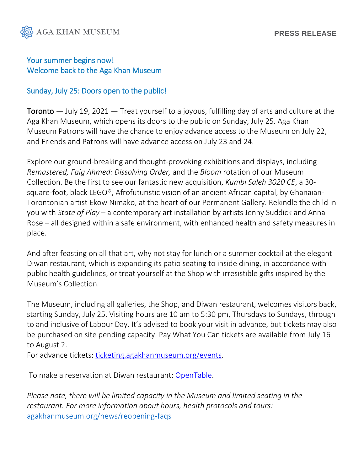

## Your summer begins now! Welcome back to the Aga Khan Museum

## Sunday, July 25: Doors open to the public!

**Toronto**  $-$  July 19, 2021  $-$  Treat yourself to a joyous, fulfilling day of arts and culture at the Aga Khan Museum, which opens its doors to the public on Sunday, July 25. Aga Khan Museum Patrons will have the chance to enjoy advance access to the Museum on July 22, and Friends and Patrons will have advance access on July 23 and 24.

Explore our ground-breaking and thought-provoking exhibitions and displays, including *Remastered, Faig Ahmed: Dissolving Order,* and the *Bloom* rotation of our Museum Collection. Be the first to see our fantastic new acquisition, *Kumbi Saleh 3020 CE*, a 30 square-foot, black LEGO®, Afrofuturistic vision of an ancient African capital, by Ghanaian-Torontonian artist Ekow Nimako, at the heart of our Permanent Gallery. Rekindle the child in you with *State of Play* – a contemporary art installation by artists Jenny Suddick and Anna Rose – all designed within a safe environment, with enhanced health and safety measures in place.

And after feasting on all that art, why not stay for lunch or a summer cocktail at the elegant Diwan restaurant, which is expanding its patio seating to inside dining, in accordance with public health guidelines, or treat yourself at the Shop with irresistible gifts inspired by the Museum's Collection.

The Museum, including all galleries, the Shop, and Diwan restaurant, welcomes visitors back, starting Sunday, July 25. Visiting hours are 10 am to 5:30 pm, Thursdays to Sundays, through to and inclusive of Labour Day. It's advised to book your visit in advance, but tickets may also be purchased on site pending capacity. Pay What You Can tickets are available from July 16 to August 2.

For advance tickets: [ticketing.agakhanmuseum.org/events.](https://ticketing.agakhanmuseum.org/events)

To make a reservation at Diwan restaurant: [OpenTable.](https://www.opentable.com/restref/client/?restref=188950&rid=188950&covers=1&partysize=1&corrid=dbc83702-a369-425e-9c71-258467eb2b27)

*Please note, there will be limited capacity in the Museum and limited seating in the restaurant. For more information about hours, health protocols and tours:* [agakhanmuseum.org/news/reopening-faqs](https://agakhanmuseum.org/news/reopening-faqs)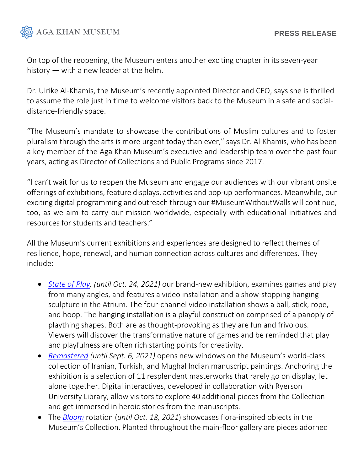

On top of the reopening, the Museum enters another exciting chapter in its seven-year history — with a new leader at the helm.

Dr. Ulrike Al-Khamis, the Museum's recently appointed Director and CEO, says she is thrilled to assume the role just in time to welcome visitors back to the Museum in a safe and socialdistance-friendly space.

"The Museum's mandate to showcase the contributions of Muslim cultures and to foster pluralism through the arts is more urgent today than ever," says Dr. Al-Khamis, who has been a key member of the Aga Khan Museum's executive and leadership team over the past four years, acting as Director of Collections and Public Programs since 2017.

"I can't wait for us to reopen the Museum and engage our audiences with our vibrant onsite offerings of exhibitions, feature displays, activities and pop-up performances. Meanwhile, our exciting digital programming and outreach through our #MuseumWithoutWalls will continue, too, as we aim to carry our mission worldwide, especially with educational initiatives and resources for students and teachers."

All the Museum's current exhibitions and experiences are designed to reflect themes of resilience, hope, renewal, and human connection across cultures and differences. They include:

- *[State of Play,](https://www.agakhanmuseum.org/exhibitions/state-of-play) (until Oct. 24, 2021)* our brand-new exhibition, examines games and play from many angles, and features a video installation and a show-stopping hanging sculpture in the Atrium. The four-channel video installation shows a ball, stick, rope, and hoop. The hanging installation is a playful construction comprised of a panoply of plaything shapes. Both are as thought-provoking as they are fun and frivolous. Viewers will discover the transformative nature of games and be reminded that play and playfulness are often rich starting points for creativity.
- *[Remastered](https://www.agakhanmuseum.org/exhibitions/remastered) (until Sept. 6, 2021)* opens new windows on the Museum's world-class collection of Iranian, Turkish, and Mughal Indian manuscript paintings. Anchoring the exhibition is a selection of 11 resplendent masterworks that rarely go on display, let alone together. Digital interactives, developed in collaboration with Ryerson University Library, allow visitors to explore 40 additional pieces from the Collection and get immersed in heroic stories from the manuscripts.
- The *[Bloom](https://agakhanmuseum.org/exhibitions/museum-collections-bloom)* rotation (*until Oct. 18, 2021*) showcases flora-inspired objects in the Museum's Collection. Planted throughout the main-floor gallery are pieces adorned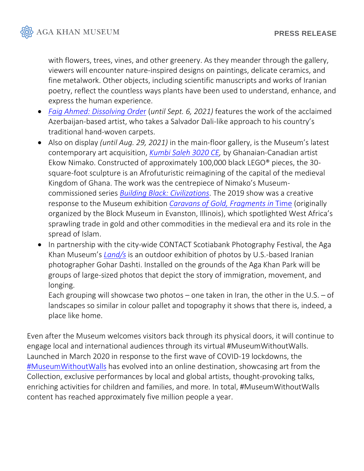

with flowers, trees, vines, and other greenery. As they meander through the gallery, viewers will encounter nature-inspired designs on paintings, delicate ceramics, and fine metalwork. Other objects, including scientific manuscripts and works of Iranian poetry, reflect the countless ways plants have been used to understand, enhance, and express the human experience.

- *[Faig Ahmed: Dissolving Orde](https://agakhanmuseum.org/exhibitions/dissolving-order)*r (*until Sept. 6, 2021)* features the work of the acclaimed Azerbaijan-based artist, who takes a Salvador Dali-like approach to his country's traditional hand-woven carpets.
- Also on display *(until Aug. 29, 2021)* in the main-floor gallery, is the Museum's latest contemporary art acquisition, *[Kumbi Saleh 3020 CE,](https://agakhanmuseum.org/exhibitions/kumbi-saleh-3020-ce)* by Ghanaian-Canadian artist Ekow Nimako. Constructed of approximately 100,000 black LEGO® pieces, the 30 square-foot sculpture is an Afrofuturistic reimagining of the capital of the medieval Kingdom of Ghana. The work was the centrepiece of Nimako's Museumcommissioned series *[Building Black: Civilizations](https://agakhanmuseum.org/exhibitions/ekow-nimako-building-black-civilizations)*. The 2019 show was a creative response to the Museum exhibition *[Caravans of Gold, Fragments in](https://www.agakhanmuseum.org/exhibitions/caravans-of-gold)* Time (originally organized by the Block Museum in Evanston, Illinois), which spotlighted West Africa's sprawling trade in gold and other commodities in the medieval era and its role in the spread of Islam.
- In partnership with the city-wide CONTACT Scotiabank Photography Festival, the Aga Khan Museum's *[Land/s](https://agakhanmuseum.org/exhibitions/lands)* is an outdoor exhibition of photos by U.S.-based Iranian photographer Gohar Dashti. Installed on the grounds of the Aga Khan Park will be groups of large-sized photos that depict the story of immigration, movement, and longing.

Each grouping will showcase two photos – one taken in Iran, the other in the U.S. – of landscapes so similar in colour pallet and topography it shows that there is, indeed, a place like home.

Even after the Museum welcomes visitors back through its physical doors, it will continue to engage local and international audiences through its virtual #MuseumWithoutWalls. Launched in March 2020 in response to the first wave of COVID-19 lockdowns, the [#MuseumWithoutWalls](https://www.agakhanmuseum.org/museumwithoutwalls) has evolved into an online destination, showcasing art from the Collection, exclusive performances by local and global artists, thought-provoking talks, enriching activities for children and families, and more. In total, #MuseumWithoutWalls content has reached approximately five million people a year.